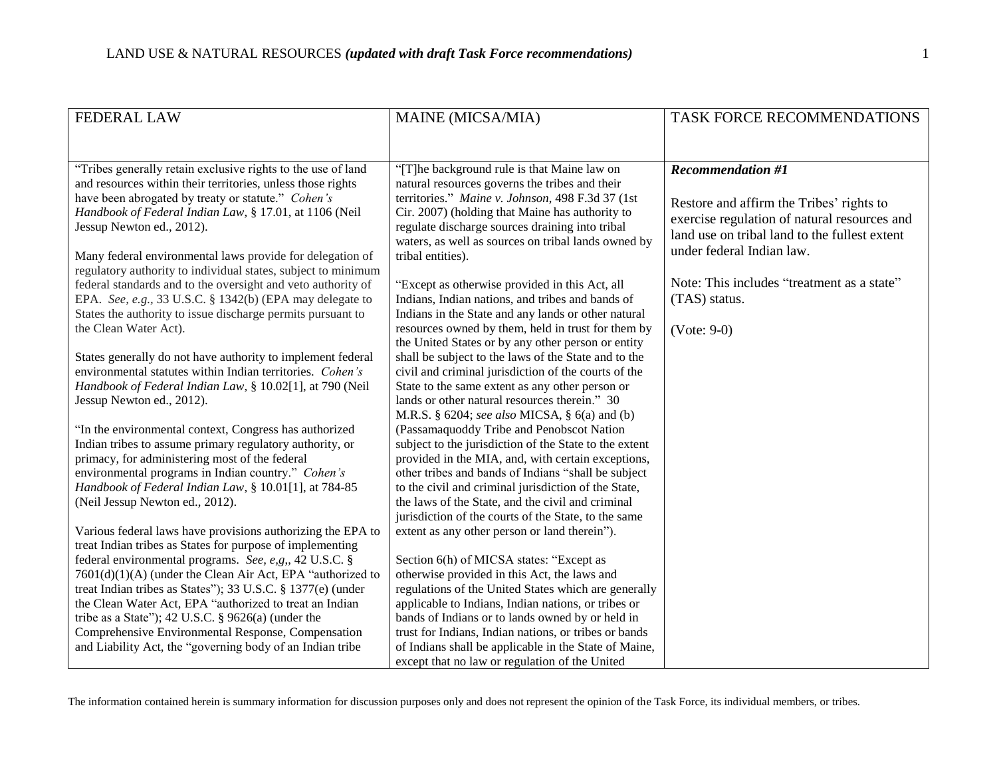| <b>FEDERAL LAW</b>                                                                                                      | MAINE (MICSA/MIA)                                                                                           | TASK FORCE RECOMMENDATIONS                    |
|-------------------------------------------------------------------------------------------------------------------------|-------------------------------------------------------------------------------------------------------------|-----------------------------------------------|
|                                                                                                                         |                                                                                                             |                                               |
| "Tribes generally retain exclusive rights to the use of land                                                            | "[T]he background rule is that Maine law on                                                                 | <b>Recommendation #1</b>                      |
| and resources within their territories, unless those rights                                                             | natural resources governs the tribes and their                                                              |                                               |
| have been abrogated by treaty or statute." Cohen's<br>Handbook of Federal Indian Law, § 17.01, at 1106 (Neil            | territories." Maine v. Johnson, 498 F.3d 37 (1st<br>Cir. 2007) (holding that Maine has authority to         | Restore and affirm the Tribes' rights to      |
| Jessup Newton ed., 2012).                                                                                               | regulate discharge sources draining into tribal                                                             | exercise regulation of natural resources and  |
|                                                                                                                         | waters, as well as sources on tribal lands owned by                                                         | land use on tribal land to the fullest extent |
| Many federal environmental laws provide for delegation of                                                               | tribal entities).                                                                                           | under federal Indian law.                     |
| regulatory authority to individual states, subject to minimum                                                           |                                                                                                             |                                               |
| federal standards and to the oversight and veto authority of                                                            | "Except as otherwise provided in this Act, all                                                              | Note: This includes "treatment as a state"    |
| EPA. See, e.g., 33 U.S.C. § 1342(b) (EPA may delegate to<br>States the authority to issue discharge permits pursuant to | Indians, Indian nations, and tribes and bands of<br>Indians in the State and any lands or other natural     | (TAS) status.                                 |
| the Clean Water Act).                                                                                                   | resources owned by them, held in trust for them by                                                          | $(Note: 9-0)$                                 |
|                                                                                                                         | the United States or by any other person or entity                                                          |                                               |
| States generally do not have authority to implement federal                                                             | shall be subject to the laws of the State and to the                                                        |                                               |
| environmental statutes within Indian territories. Cohen's                                                               | civil and criminal jurisdiction of the courts of the                                                        |                                               |
| Handbook of Federal Indian Law, § 10.02[1], at 790 (Neil<br>Jessup Newton ed., 2012).                                   | State to the same extent as any other person or<br>lands or other natural resources therein." 30            |                                               |
|                                                                                                                         | M.R.S. § 6204; see also MICSA, § 6(a) and (b)                                                               |                                               |
| "In the environmental context, Congress has authorized                                                                  | (Passamaquoddy Tribe and Penobscot Nation                                                                   |                                               |
| Indian tribes to assume primary regulatory authority, or                                                                | subject to the jurisdiction of the State to the extent                                                      |                                               |
| primacy, for administering most of the federal                                                                          | provided in the MIA, and, with certain exceptions,                                                          |                                               |
| environmental programs in Indian country." Cohen's                                                                      | other tribes and bands of Indians "shall be subject                                                         |                                               |
| Handbook of Federal Indian Law, § 10.01[1], at 784-85<br>(Neil Jessup Newton ed., 2012).                                | to the civil and criminal jurisdiction of the State,<br>the laws of the State, and the civil and criminal   |                                               |
|                                                                                                                         | jurisdiction of the courts of the State, to the same                                                        |                                               |
| Various federal laws have provisions authorizing the EPA to                                                             | extent as any other person or land therein").                                                               |                                               |
| treat Indian tribes as States for purpose of implementing                                                               |                                                                                                             |                                               |
| federal environmental programs. See, e,g,, 42 U.S.C. §                                                                  | Section 6(h) of MICSA states: "Except as                                                                    |                                               |
| 7601(d)(1)(A) (under the Clean Air Act, EPA "authorized to                                                              | otherwise provided in this Act, the laws and                                                                |                                               |
| treat Indian tribes as States"); 33 U.S.C. § 1377(e) (under<br>the Clean Water Act, EPA "authorized to treat an Indian  | regulations of the United States which are generally<br>applicable to Indians, Indian nations, or tribes or |                                               |
| tribe as a State"); 42 U.S.C. $\S$ 9626(a) (under the                                                                   | bands of Indians or to lands owned by or held in                                                            |                                               |
| Comprehensive Environmental Response, Compensation                                                                      | trust for Indians, Indian nations, or tribes or bands                                                       |                                               |
| and Liability Act, the "governing body of an Indian tribe                                                               | of Indians shall be applicable in the State of Maine,                                                       |                                               |
|                                                                                                                         | except that no law or regulation of the United                                                              |                                               |

The information contained herein is summary information for discussion purposes only and does not represent the opinion of the Task Force, its individual members, or tribes.